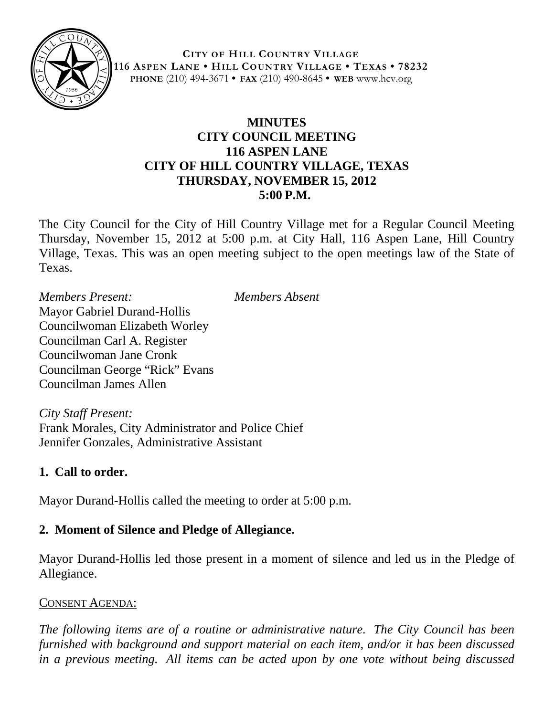

**CITY OF HILL COUNTRY VILLAGE 116 ASPEN LANE • HILL COUNTRY VILLAGE • TEXAS • 78232 PHONE** (210) 494-3671 **• FAX** (210) 490-8645 **• WEB** www.hcv.org

# **MINUTES CITY COUNCIL MEETING 116 ASPEN LANE CITY OF HILL COUNTRY VILLAGE, TEXAS THURSDAY, NOVEMBER 15, 2012 5:00 P.M.**

The City Council for the City of Hill Country Village met for a Regular Council Meeting Thursday, November 15, 2012 at 5:00 p.m. at City Hall, 116 Aspen Lane, Hill Country Village, Texas. This was an open meeting subject to the open meetings law of the State of Texas.

*Members Present: Members Absent* Mayor Gabriel Durand-Hollis Councilwoman Elizabeth Worley Councilman Carl A. Register Councilwoman Jane Cronk Councilman George "Rick" Evans Councilman James Allen

*City Staff Present:* Frank Morales, City Administrator and Police Chief Jennifer Gonzales, Administrative Assistant

# **1. Call to order.**

Mayor Durand-Hollis called the meeting to order at 5:00 p.m.

# **2. Moment of Silence and Pledge of Allegiance.**

Mayor Durand-Hollis led those present in a moment of silence and led us in the Pledge of Allegiance.

#### CONSENT AGENDA:

*The following items are of a routine or administrative nature. The City Council has been furnished with background and support material on each item, and/or it has been discussed in a previous meeting. All items can be acted upon by one vote without being discussed*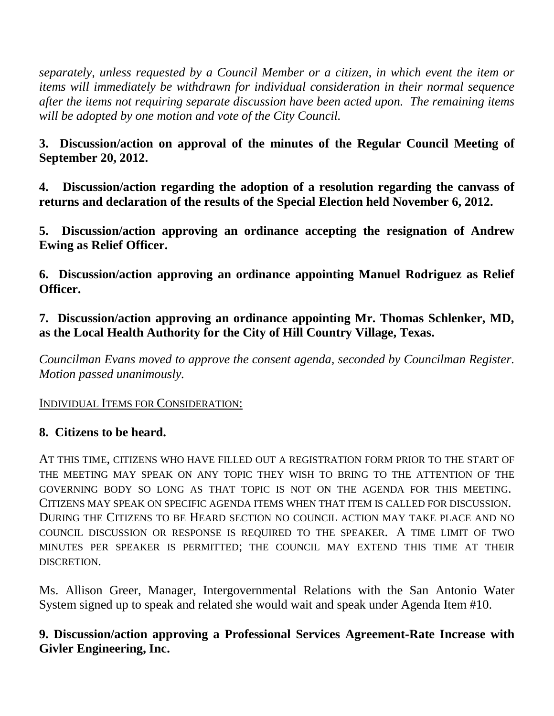*separately, unless requested by a Council Member or a citizen, in which event the item or items will immediately be withdrawn for individual consideration in their normal sequence after the items not requiring separate discussion have been acted upon. The remaining items will be adopted by one motion and vote of the City Council.*

**3. Discussion/action on approval of the minutes of the Regular Council Meeting of September 20, 2012.**

**4. Discussion/action regarding the adoption of a resolution regarding the canvass of returns and declaration of the results of the Special Election held November 6, 2012.**

**5. Discussion/action approving an ordinance accepting the resignation of Andrew Ewing as Relief Officer.**

**6. Discussion/action approving an ordinance appointing Manuel Rodriguez as Relief Officer.**

**7. Discussion/action approving an ordinance appointing Mr. Thomas Schlenker, MD, as the Local Health Authority for the City of Hill Country Village, Texas.**

*Councilman Evans moved to approve the consent agenda, seconded by Councilman Register. Motion passed unanimously.*

INDIVIDUAL ITEMS FOR CONSIDERATION:

#### **8. Citizens to be heard.**

AT THIS TIME, CITIZENS WHO HAVE FILLED OUT A REGISTRATION FORM PRIOR TO THE START OF THE MEETING MAY SPEAK ON ANY TOPIC THEY WISH TO BRING TO THE ATTENTION OF THE GOVERNING BODY SO LONG AS THAT TOPIC IS NOT ON THE AGENDA FOR THIS MEETING. CITIZENS MAY SPEAK ON SPECIFIC AGENDA ITEMS WHEN THAT ITEM IS CALLED FOR DISCUSSION. DURING THE CITIZENS TO BE HEARD SECTION NO COUNCIL ACTION MAY TAKE PLACE AND NO COUNCIL DISCUSSION OR RESPONSE IS REQUIRED TO THE SPEAKER. A TIME LIMIT OF TWO MINUTES PER SPEAKER IS PERMITTED; THE COUNCIL MAY EXTEND THIS TIME AT THEIR DISCRETION.

Ms. Allison Greer, Manager, Intergovernmental Relations with the San Antonio Water System signed up to speak and related she would wait and speak under Agenda Item #10.

# **9. Discussion/action approving a Professional Services Agreement-Rate Increase with Givler Engineering, Inc.**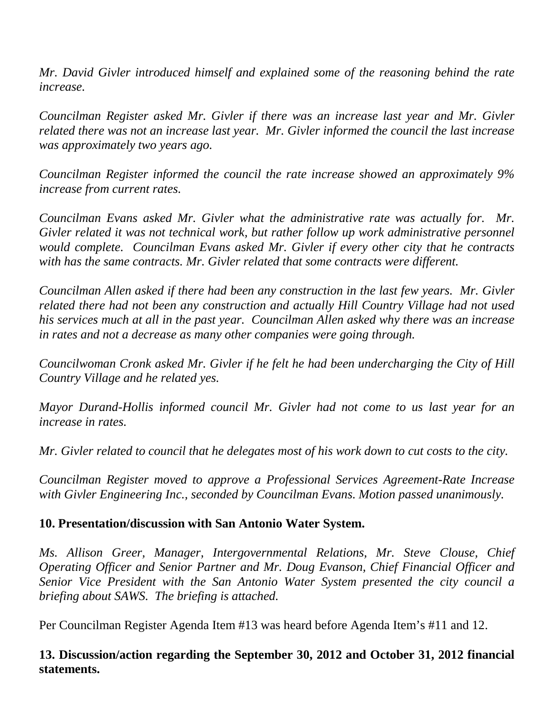*Mr. David Givler introduced himself and explained some of the reasoning behind the rate increase.* 

*Councilman Register asked Mr. Givler if there was an increase last year and Mr. Givler related there was not an increase last year. Mr. Givler informed the council the last increase was approximately two years ago.* 

*Councilman Register informed the council the rate increase showed an approximately 9% increase from current rates.*

*Councilman Evans asked Mr. Givler what the administrative rate was actually for. Mr. Givler related it was not technical work, but rather follow up work administrative personnel would complete. Councilman Evans asked Mr. Givler if every other city that he contracts with has the same contracts. Mr. Givler related that some contracts were different.*

*Councilman Allen asked if there had been any construction in the last few years. Mr. Givler related there had not been any construction and actually Hill Country Village had not used his services much at all in the past year. Councilman Allen asked why there was an increase in rates and not a decrease as many other companies were going through.*

*Councilwoman Cronk asked Mr. Givler if he felt he had been undercharging the City of Hill Country Village and he related yes.*

*Mayor Durand-Hollis informed council Mr. Givler had not come to us last year for an increase in rates.*

*Mr. Givler related to council that he delegates most of his work down to cut costs to the city.*

*Councilman Register moved to approve a Professional Services Agreement-Rate Increase with Givler Engineering Inc., seconded by Councilman Evans. Motion passed unanimously.*

#### **10. Presentation/discussion with San Antonio Water System.**

*Ms. Allison Greer, Manager, Intergovernmental Relations, Mr. Steve Clouse, Chief Operating Officer and Senior Partner and Mr. Doug Evanson, Chief Financial Officer and Senior Vice President with the San Antonio Water System presented the city council a briefing about SAWS. The briefing is attached.* 

Per Councilman Register Agenda Item #13 was heard before Agenda Item's #11 and 12.

# **13. Discussion/action regarding the September 30, 2012 and October 31, 2012 financial statements.**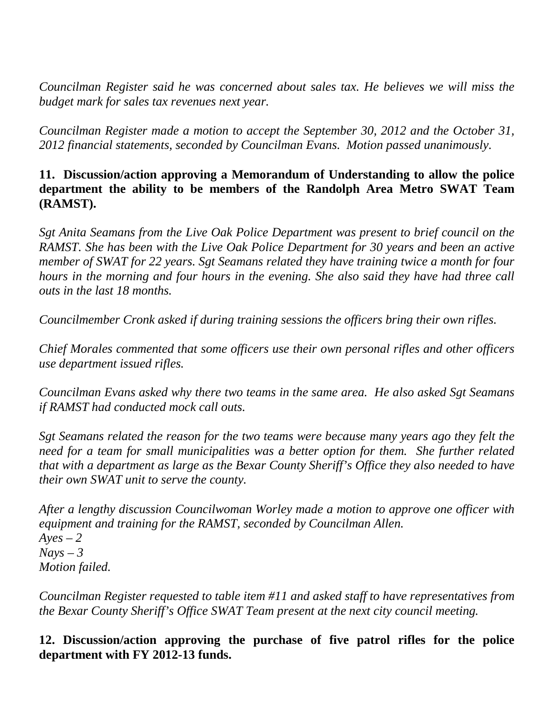*Councilman Register said he was concerned about sales tax. He believes we will miss the budget mark for sales tax revenues next year.* 

*Councilman Register made a motion to accept the September 30, 2012 and the October 31, 2012 financial statements, seconded by Councilman Evans. Motion passed unanimously.*

### **11. Discussion/action approving a Memorandum of Understanding to allow the police department the ability to be members of the Randolph Area Metro SWAT Team (RAMST).**

*Sgt Anita Seamans from the Live Oak Police Department was present to brief council on the RAMST. She has been with the Live Oak Police Department for 30 years and been an active member of SWAT for 22 years. Sgt Seamans related they have training twice a month for four hours in the morning and four hours in the evening. She also said they have had three call outs in the last 18 months.* 

*Councilmember Cronk asked if during training sessions the officers bring their own rifles.*

*Chief Morales commented that some officers use their own personal rifles and other officers use department issued rifles.*

*Councilman Evans asked why there two teams in the same area. He also asked Sgt Seamans if RAMST had conducted mock call outs.*

*Sgt Seamans related the reason for the two teams were because many years ago they felt the need for a team for small municipalities was a better option for them. She further related that with a department as large as the Bexar County Sheriff's Office they also needed to have their own SWAT unit to serve the county.*

*After a lengthy discussion Councilwoman Worley made a motion to approve one officer with equipment and training for the RAMST, seconded by Councilman Allen. Ayes – 2 Nays – 3 Motion failed.*

*Councilman Register requested to table item #11 and asked staff to have representatives from the Bexar County Sheriff's Office SWAT Team present at the next city council meeting.* 

# **12. Discussion/action approving the purchase of five patrol rifles for the police department with FY 2012-13 funds.**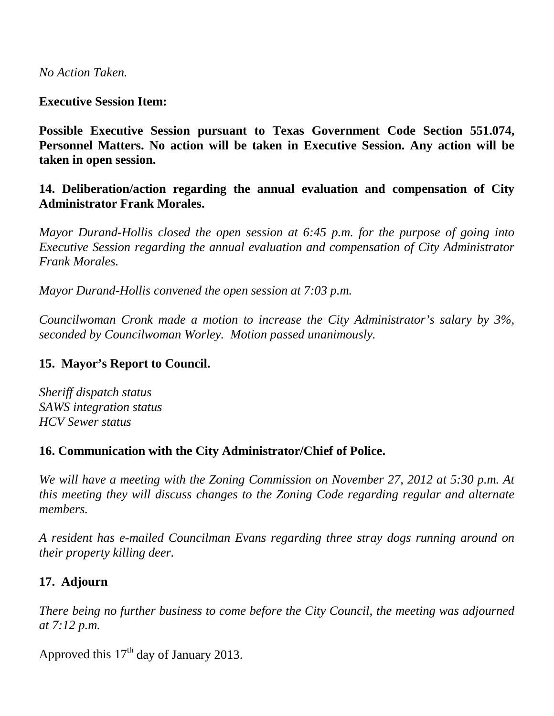*No Action Taken.*

#### **Executive Session Item:**

**Possible Executive Session pursuant to Texas Government Code Section 551.074, Personnel Matters. No action will be taken in Executive Session. Any action will be taken in open session.**

**14. Deliberation/action regarding the annual evaluation and compensation of City Administrator Frank Morales.**

*Mayor Durand-Hollis closed the open session at 6:45 p.m. for the purpose of going into Executive Session regarding the annual evaluation and compensation of City Administrator Frank Morales.*

*Mayor Durand-Hollis convened the open session at 7:03 p.m.*

*Councilwoman Cronk made a motion to increase the City Administrator's salary by 3%, seconded by Councilwoman Worley. Motion passed unanimously.*

#### **15. Mayor's Report to Council.**

*Sheriff dispatch status SAWS integration status HCV Sewer status*

#### **16. Communication with the City Administrator/Chief of Police.**

*We will have a meeting with the Zoning Commission on November 27, 2012 at 5:30 p.m. At this meeting they will discuss changes to the Zoning Code regarding regular and alternate members.*

*A resident has e-mailed Councilman Evans regarding three stray dogs running around on their property killing deer.*

# **17. Adjourn**

*There being no further business to come before the City Council, the meeting was adjourned at 7:12 p.m.*

Approved this  $17<sup>th</sup>$  day of January 2013.